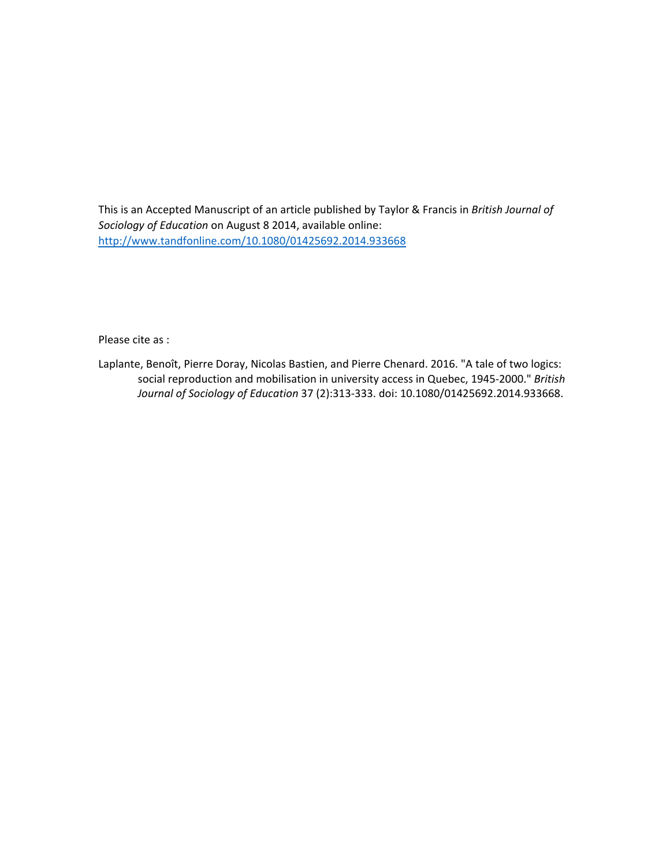This is an Accepted Manuscript of an article published by Taylor & Francis in *British Journal of Sociology of Education* on August 8 2014, available online: http://www.tandfonline.com/10.1080/01425692.2014.933668

Please cite as :

Laplante, Benoît, Pierre Doray, Nicolas Bastien, and Pierre Chenard. 2016. "A tale of two logics: social reproduction and mobilisation in university access in Quebec, 1945‐2000." *British Journal of Sociology of Education* 37 (2):313‐333. doi: 10.1080/01425692.2014.933668.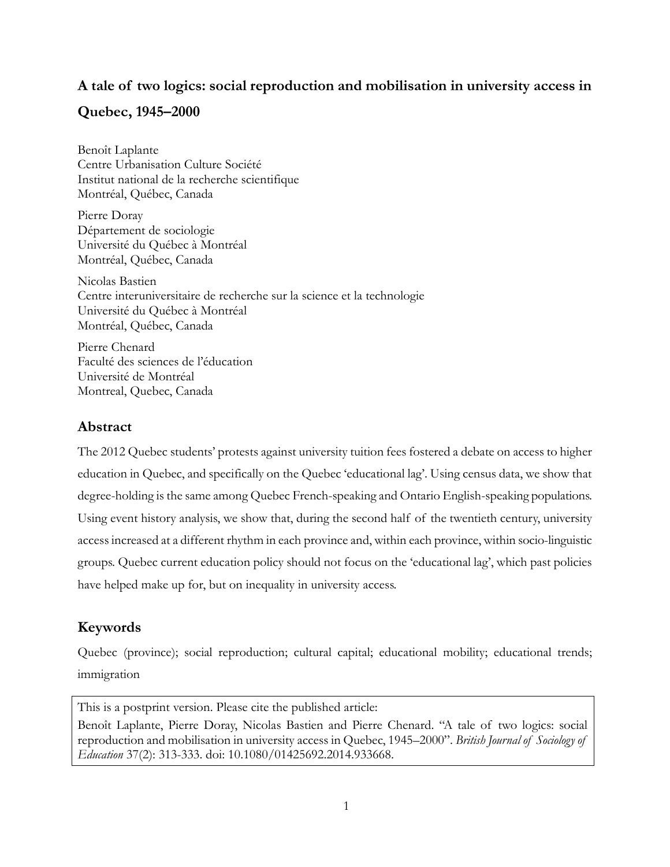# **A tale of two logics: social reproduction and mobilisation in university access in**

## **Quebec, 1945–2000**

Benoît Laplante Centre Urbanisation Culture Société Institut national de la recherche scientifique Montréal, Québec, Canada

Pierre Doray Département de sociologie Université du Québec à Montréal Montréal, Québec, Canada

Nicolas Bastien Centre interuniversitaire de recherche sur la science et la technologie Université du Québec à Montréal Montréal, Québec, Canada

Pierre Chenard Faculté des sciences de l'éducation Université de Montréal Montreal, Quebec, Canada

## **Abstract**

The 2012 Quebec students' protests against university tuition fees fostered a debate on access to higher education in Quebec, and specifically on the Quebec 'educational lag'. Using census data, we show that degree-holding is the same among Quebec French-speaking and Ontario English-speaking populations. Using event history analysis, we show that, during the second half of the twentieth century, university access increased at a different rhythm in each province and, within each province, within socio-linguistic groups. Quebec current education policy should not focus on the 'educational lag', which past policies have helped make up for, but on inequality in university access.

## **Keywords**

Quebec (province); social reproduction; cultural capital; educational mobility; educational trends; immigration

This is a postprint version. Please cite the published article: Benoît Laplante, Pierre Doray, Nicolas Bastien and Pierre Chenard. "A tale of two logics: social reproduction and mobilisation in university access in Quebec, 1945–2000". *British Journal of Sociology of Education* 37(2): 313-333. doi: 10.1080/01425692.2014.933668.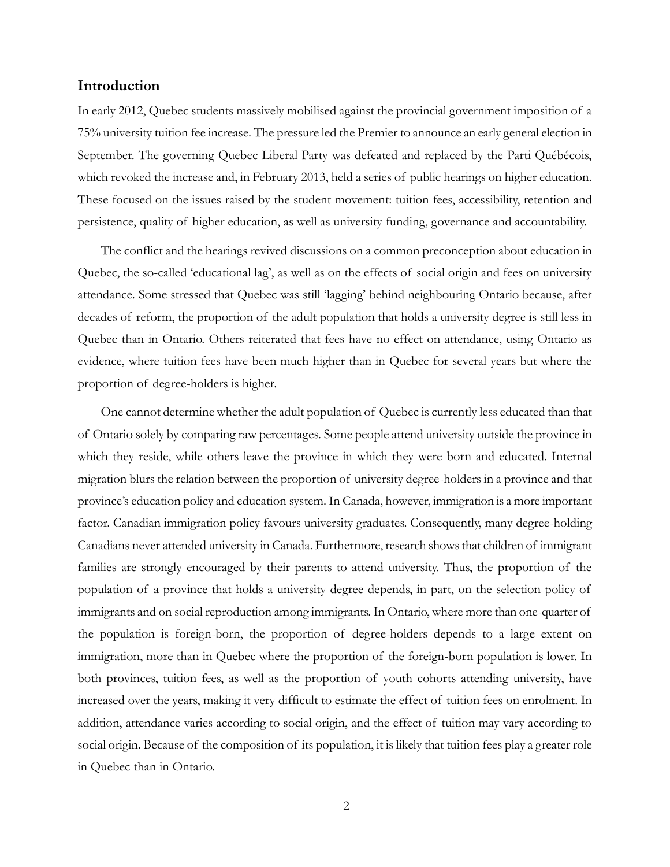### **Introduction**

In early 2012, Quebec students massively mobilised against the provincial government imposition of a 75% university tuition fee increase. The pressure led the Premier to announce an early general election in September. The governing Quebec Liberal Party was defeated and replaced by the Parti Québécois, which revoked the increase and, in February 2013, held a series of public hearings on higher education. These focused on the issues raised by the student movement: tuition fees, accessibility, retention and persistence, quality of higher education, as well as university funding, governance and accountability.

The conflict and the hearings revived discussions on a common preconception about education in Quebec, the so-called 'educational lag', as well as on the effects of social origin and fees on university attendance. Some stressed that Quebec was still 'lagging' behind neighbouring Ontario because, after decades of reform, the proportion of the adult population that holds a university degree is still less in Quebec than in Ontario. Others reiterated that fees have no effect on attendance, using Ontario as evidence, where tuition fees have been much higher than in Quebec for several years but where the proportion of degree-holders is higher.

One cannot determine whether the adult population of Quebec is currently less educated than that of Ontario solely by comparing raw percentages. Some people attend university outside the province in which they reside, while others leave the province in which they were born and educated. Internal migration blurs the relation between the proportion of university degree-holders in a province and that province's education policy and education system. In Canada, however, immigration is a more important factor. Canadian immigration policy favours university graduates. Consequently, many degree-holding Canadians never attended university in Canada. Furthermore, research shows that children of immigrant families are strongly encouraged by their parents to attend university. Thus, the proportion of the population of a province that holds a university degree depends, in part, on the selection policy of immigrants and on social reproduction among immigrants. In Ontario, where more than one-quarter of the population is foreign-born, the proportion of degree-holders depends to a large extent on immigration, more than in Quebec where the proportion of the foreign-born population is lower. In both provinces, tuition fees, as well as the proportion of youth cohorts attending university, have increased over the years, making it very difficult to estimate the effect of tuition fees on enrolment. In addition, attendance varies according to social origin, and the effect of tuition may vary according to social origin. Because of the composition of its population, it is likely that tuition fees play a greater role in Quebec than in Ontario.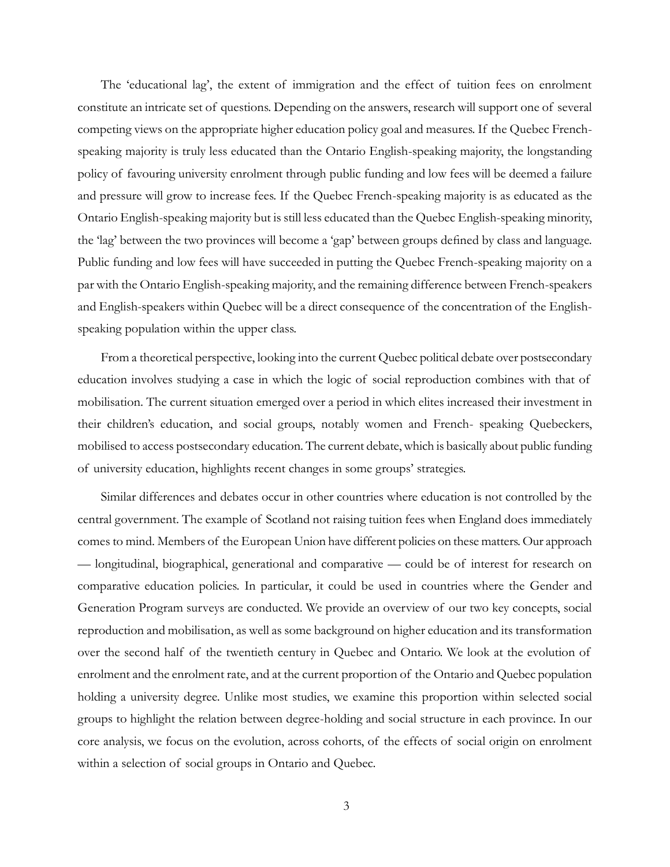The 'educational lag', the extent of immigration and the effect of tuition fees on enrolment constitute an intricate set of questions. Depending on the answers, research will support one of several competing views on the appropriate higher education policy goal and measures. If the Quebec Frenchspeaking majority is truly less educated than the Ontario English-speaking majority, the longstanding policy of favouring university enrolment through public funding and low fees will be deemed a failure and pressure will grow to increase fees. If the Quebec French-speaking majority is as educated as the Ontario English-speaking majority but is still less educated than the Quebec English-speaking minority, the 'lag' between the two provinces will become a 'gap' between groups defined by class and language. Public funding and low fees will have succeeded in putting the Quebec French-speaking majority on a par with the Ontario English-speaking majority, and the remaining difference between French-speakers and English-speakers within Quebec will be a direct consequence of the concentration of the Englishspeaking population within the upper class.

From a theoretical perspective, looking into the current Quebec political debate over postsecondary education involves studying a case in which the logic of social reproduction combines with that of mobilisation. The current situation emerged over a period in which elites increased their investment in their children's education, and social groups, notably women and French- speaking Quebeckers, mobilised to access postsecondary education. The current debate, which is basically about public funding of university education, highlights recent changes in some groups' strategies.

Similar differences and debates occur in other countries where education is not controlled by the central government. The example of Scotland not raising tuition fees when England does immediately comes to mind. Members of the European Union have different policies on these matters. Our approach — longitudinal, biographical, generational and comparative — could be of interest for research on comparative education policies. In particular, it could be used in countries where the Gender and Generation Program surveys are conducted. We provide an overview of our two key concepts, social reproduction and mobilisation, as well as some background on higher education and its transformation over the second half of the twentieth century in Quebec and Ontario. We look at the evolution of enrolment and the enrolment rate, and at the current proportion of the Ontario and Quebec population holding a university degree. Unlike most studies, we examine this proportion within selected social groups to highlight the relation between degree-holding and social structure in each province. In our core analysis, we focus on the evolution, across cohorts, of the effects of social origin on enrolment within a selection of social groups in Ontario and Quebec.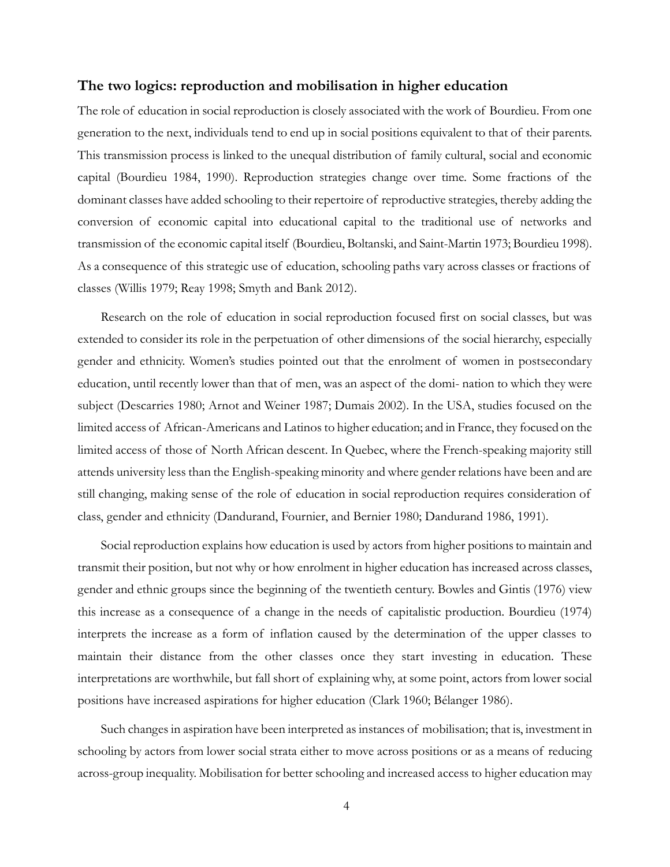#### **The two logics: reproduction and mobilisation in higher education**

The role of education in social reproduction is closely associated with the work of Bourdieu. From one generation to the next, individuals tend to end up in social positions equivalent to that of their parents. This transmission process is linked to the unequal distribution of family cultural, social and economic capital (Bourdieu 1984, 1990). Reproduction strategies change over time. Some fractions of the dominant classes have added schooling to their repertoire of reproductive strategies, thereby adding the conversion of economic capital into educational capital to the traditional use of networks and transmission of the economic capital itself (Bourdieu, Boltanski, and Saint-Martin 1973; Bourdieu 1998). As a consequence of this strategic use of education, schooling paths vary across classes or fractions of classes (Willis 1979; Reay 1998; Smyth and Bank 2012).

Research on the role of education in social reproduction focused first on social classes, but was extended to consider its role in the perpetuation of other dimensions of the social hierarchy, especially gender and ethnicity. Women's studies pointed out that the enrolment of women in postsecondary education, until recently lower than that of men, was an aspect of the domi- nation to which they were subject (Descarries 1980; Arnot and Weiner 1987; Dumais 2002). In the USA, studies focused on the limited access of African-Americans and Latinos to higher education; and in France, they focused on the limited access of those of North African descent. In Quebec, where the French-speaking majority still attends university less than the English-speaking minority and where gender relations have been and are still changing, making sense of the role of education in social reproduction requires consideration of class, gender and ethnicity (Dandurand, Fournier, and Bernier 1980; Dandurand 1986, 1991).

Social reproduction explains how education is used by actors from higher positions to maintain and transmit their position, but not why or how enrolment in higher education has increased across classes, gender and ethnic groups since the beginning of the twentieth century. Bowles and Gintis (1976) view this increase as a consequence of a change in the needs of capitalistic production. Bourdieu (1974) interprets the increase as a form of inflation caused by the determination of the upper classes to maintain their distance from the other classes once they start investing in education. These interpretations are worthwhile, but fall short of explaining why, at some point, actors from lower social positions have increased aspirations for higher education (Clark 1960; Bélanger 1986).

Such changes in aspiration have been interpreted as instances of mobilisation; that is, investment in schooling by actors from lower social strata either to move across positions or as a means of reducing across-group inequality. Mobilisation for better schooling and increased access to higher education may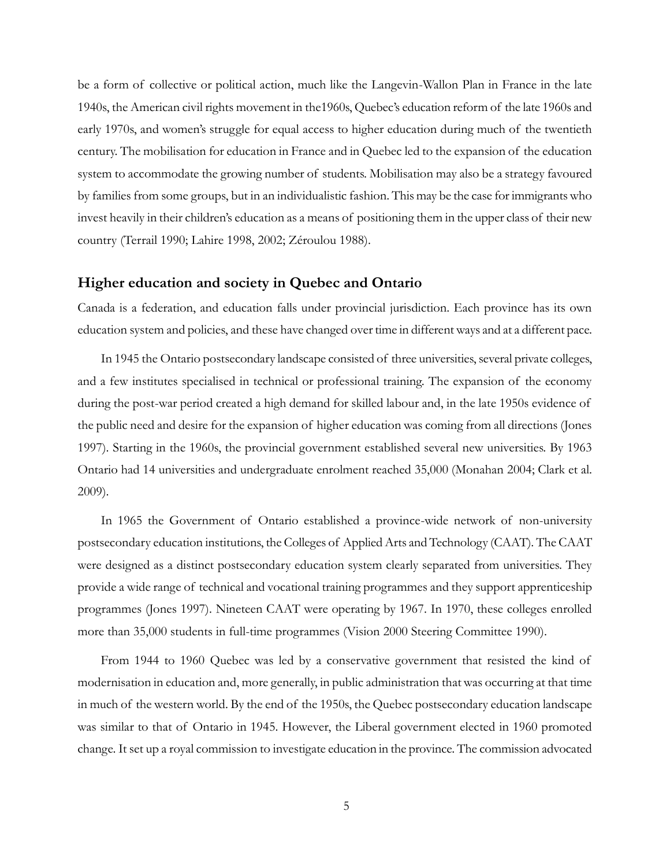be a form of collective or political action, much like the Langevin-Wallon Plan in France in the late 1940s, the American civil rights movement in the1960s, Quebec's education reform of the late 1960s and early 1970s, and women's struggle for equal access to higher education during much of the twentieth century. The mobilisation for education in France and in Quebec led to the expansion of the education system to accommodate the growing number of students. Mobilisation may also be a strategy favoured by families from some groups, but in an individualistic fashion. This may be the case for immigrants who invest heavily in their children's education as a means of positioning them in the upper class of their new country (Terrail 1990; Lahire 1998, 2002; Zéroulou 1988).

### **Higher education and society in Quebec and Ontario**

Canada is a federation, and education falls under provincial jurisdiction. Each province has its own education system and policies, and these have changed over time in different ways and at a different pace.

In 1945 the Ontario postsecondary landscape consisted of three universities, several private colleges, and a few institutes specialised in technical or professional training. The expansion of the economy during the post-war period created a high demand for skilled labour and, in the late 1950s evidence of the public need and desire for the expansion of higher education was coming from all directions (Jones 1997). Starting in the 1960s, the provincial government established several new universities. By 1963 Ontario had 14 universities and undergraduate enrolment reached 35,000 (Monahan 2004; Clark et al. 2009).

In 1965 the Government of Ontario established a province-wide network of non-university postsecondary education institutions, the Colleges of Applied Arts and Technology (CAAT). The CAAT were designed as a distinct postsecondary education system clearly separated from universities. They provide a wide range of technical and vocational training programmes and they support apprenticeship programmes (Jones 1997). Nineteen CAAT were operating by 1967. In 1970, these colleges enrolled more than 35,000 students in full-time programmes (Vision 2000 Steering Committee 1990).

From 1944 to 1960 Quebec was led by a conservative government that resisted the kind of modernisation in education and, more generally, in public administration that was occurring at that time in much of the western world. By the end of the 1950s, the Quebec postsecondary education landscape was similar to that of Ontario in 1945. However, the Liberal government elected in 1960 promoted change. It set up a royal commission to investigate education in the province. The commission advocated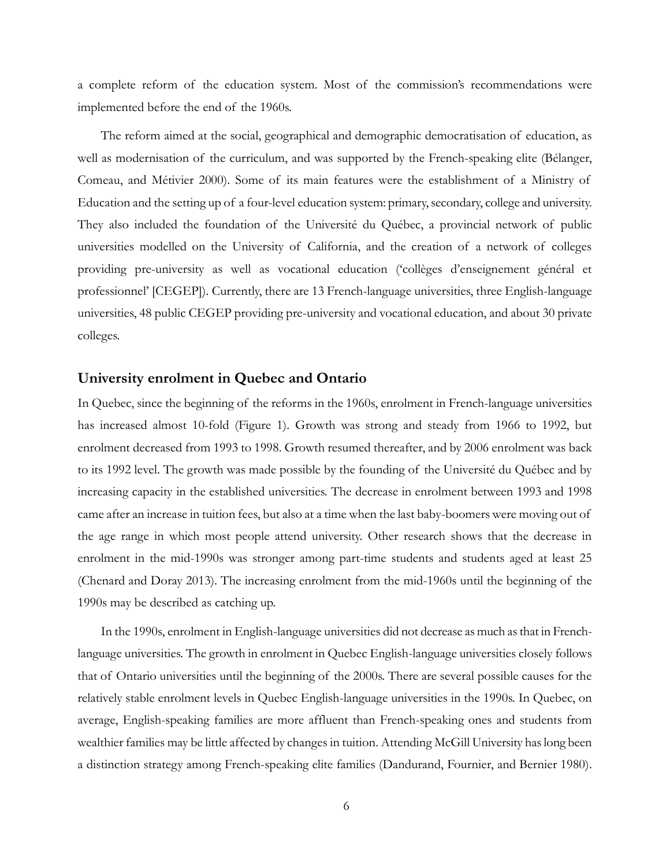a complete reform of the education system. Most of the commission's recommendations were implemented before the end of the 1960s.

The reform aimed at the social, geographical and demographic democratisation of education, as well as modernisation of the curriculum, and was supported by the French-speaking elite (Bélanger, Comeau, and Métivier 2000). Some of its main features were the establishment of a Ministry of Education and the setting up of a four-level education system: primary, secondary, college and university. They also included the foundation of the Université du Québec, a provincial network of public universities modelled on the University of California, and the creation of a network of colleges providing pre-university as well as vocational education ('collèges d'enseignement général et professionnel' [CEGEP]). Currently, there are 13 French-language universities, three English-language universities, 48 public CEGEP providing pre-university and vocational education, and about 30 private colleges.

## **University enrolment in Quebec and Ontario**

In Quebec, since the beginning of the reforms in the 1960s, enrolment in French-language universities has increased almost 10-fold (Figure 1). Growth was strong and steady from 1966 to 1992, but enrolment decreased from 1993 to 1998. Growth resumed thereafter, and by 2006 enrolment was back to its 1992 level. The growth was made possible by the founding of the Université du Québec and by increasing capacity in the established universities. The decrease in enrolment between 1993 and 1998 came after an increase in tuition fees, but also at a time when the last baby-boomers were moving out of the age range in which most people attend university. Other research shows that the decrease in enrolment in the mid-1990s was stronger among part-time students and students aged at least 25 (Chenard and Doray 2013). The increasing enrolment from the mid-1960s until the beginning of the 1990s may be described as catching up.

In the 1990s, enrolment in English-language universities did not decrease as much as that in Frenchlanguage universities. The growth in enrolment in Quebec English-language universities closely follows that of Ontario universities until the beginning of the 2000s. There are several possible causes for the relatively stable enrolment levels in Quebec English-language universities in the 1990s. In Quebec, on average, English-speaking families are more affluent than French-speaking ones and students from wealthier families may be little affected by changes in tuition. Attending McGill University has long been a distinction strategy among French-speaking elite families (Dandurand, Fournier, and Bernier 1980).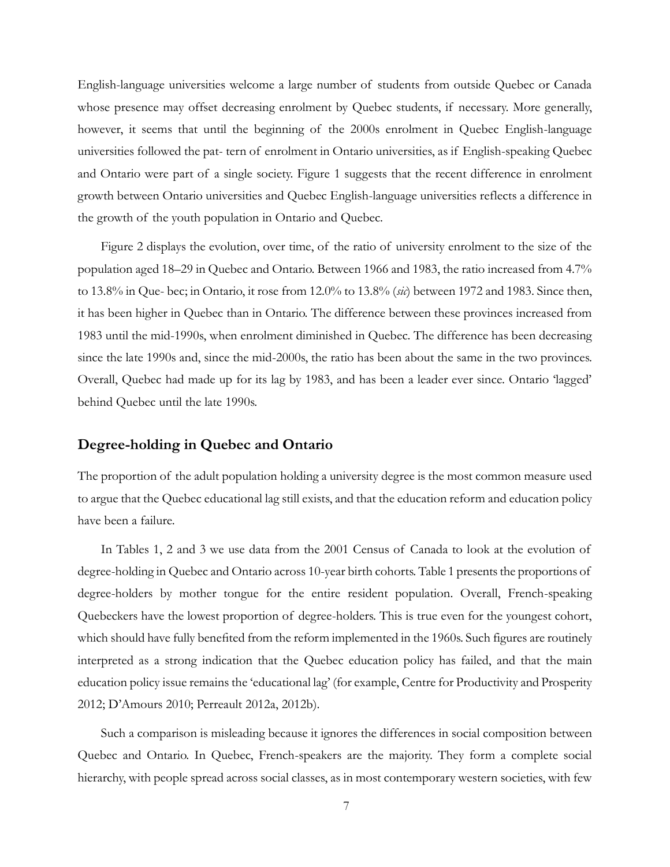English-language universities welcome a large number of students from outside Quebec or Canada whose presence may offset decreasing enrolment by Quebec students, if necessary. More generally, however, it seems that until the beginning of the 2000s enrolment in Quebec English-language universities followed the pat- tern of enrolment in Ontario universities, as if English-speaking Quebec and Ontario were part of a single society. Figure 1 suggests that the recent difference in enrolment growth between Ontario universities and Quebec English-language universities reflects a difference in the growth of the youth population in Ontario and Quebec.

Figure 2 displays the evolution, over time, of the ratio of university enrolment to the size of the population aged 18–29 in Quebec and Ontario. Between 1966 and 1983, the ratio increased from 4.7% to 13.8% in Que- bec; in Ontario, it rose from 12.0% to 13.8% (*sic*) between 1972 and 1983. Since then, it has been higher in Quebec than in Ontario. The difference between these provinces increased from 1983 until the mid-1990s, when enrolment diminished in Quebec. The difference has been decreasing since the late 1990s and, since the mid-2000s, the ratio has been about the same in the two provinces. Overall, Quebec had made up for its lag by 1983, and has been a leader ever since. Ontario 'lagged' behind Quebec until the late 1990s.

### **Degree-holding in Quebec and Ontario**

The proportion of the adult population holding a university degree is the most common measure used to argue that the Quebec educational lag still exists, and that the education reform and education policy have been a failure.

In Tables 1, 2 and 3 we use data from the 2001 Census of Canada to look at the evolution of degree-holding in Quebec and Ontario across 10-year birth cohorts. Table 1 presents the proportions of degree-holders by mother tongue for the entire resident population. Overall, French-speaking Quebeckers have the lowest proportion of degree-holders. This is true even for the youngest cohort, which should have fully benefited from the reform implemented in the 1960s. Such figures are routinely interpreted as a strong indication that the Quebec education policy has failed, and that the main education policy issue remains the 'educational lag' (for example, Centre for Productivity and Prosperity 2012; D'Amours 2010; Perreault 2012a, 2012b).

Such a comparison is misleading because it ignores the differences in social composition between Quebec and Ontario. In Quebec, French-speakers are the majority. They form a complete social hierarchy, with people spread across social classes, as in most contemporary western societies, with few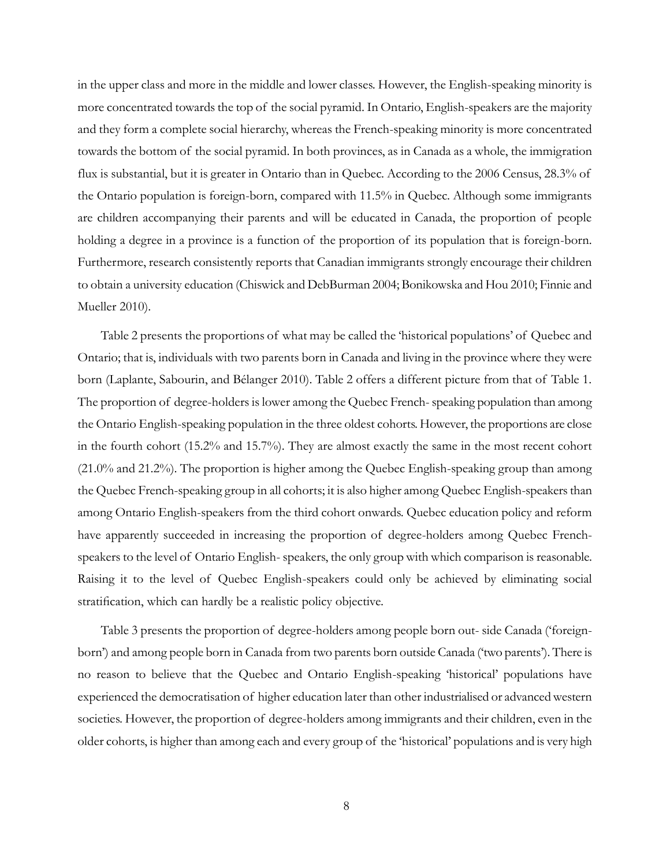in the upper class and more in the middle and lower classes. However, the English-speaking minority is more concentrated towards the top of the social pyramid. In Ontario, English-speakers are the majority and they form a complete social hierarchy, whereas the French-speaking minority is more concentrated towards the bottom of the social pyramid. In both provinces, as in Canada as a whole, the immigration flux is substantial, but it is greater in Ontario than in Quebec. According to the 2006 Census, 28.3% of the Ontario population is foreign-born, compared with 11.5% in Quebec. Although some immigrants are children accompanying their parents and will be educated in Canada, the proportion of people holding a degree in a province is a function of the proportion of its population that is foreign-born. Furthermore, research consistently reports that Canadian immigrants strongly encourage their children to obtain a university education (Chiswick and DebBurman 2004; Bonikowska and Hou 2010; Finnie and Mueller 2010).

Table 2 presents the proportions of what may be called the 'historical populations' of Quebec and Ontario; that is, individuals with two parents born in Canada and living in the province where they were born (Laplante, Sabourin, and Bélanger 2010). Table 2 offers a different picture from that of Table 1. The proportion of degree-holders is lower among the Quebec French-speaking population than among the Ontario English-speaking population in the three oldest cohorts. However, the proportions are close in the fourth cohort (15.2% and 15.7%). They are almost exactly the same in the most recent cohort (21.0% and 21.2%). The proportion is higher among the Quebec English-speaking group than among the Quebec French-speaking group in all cohorts; it is also higher among Quebec English-speakers than among Ontario English-speakers from the third cohort onwards. Quebec education policy and reform have apparently succeeded in increasing the proportion of degree-holders among Quebec Frenchspeakers to the level of Ontario English- speakers, the only group with which comparison is reasonable. Raising it to the level of Quebec English-speakers could only be achieved by eliminating social stratification, which can hardly be a realistic policy objective.

Table 3 presents the proportion of degree-holders among people born out- side Canada ('foreignborn') and among people born in Canada from two parents born outside Canada ('two parents'). There is no reason to believe that the Quebec and Ontario English-speaking 'historical' populations have experienced the democratisation of higher education later than other industrialised or advanced western societies. However, the proportion of degree-holders among immigrants and their children, even in the older cohorts, is higher than among each and every group of the 'historical' populations and is very high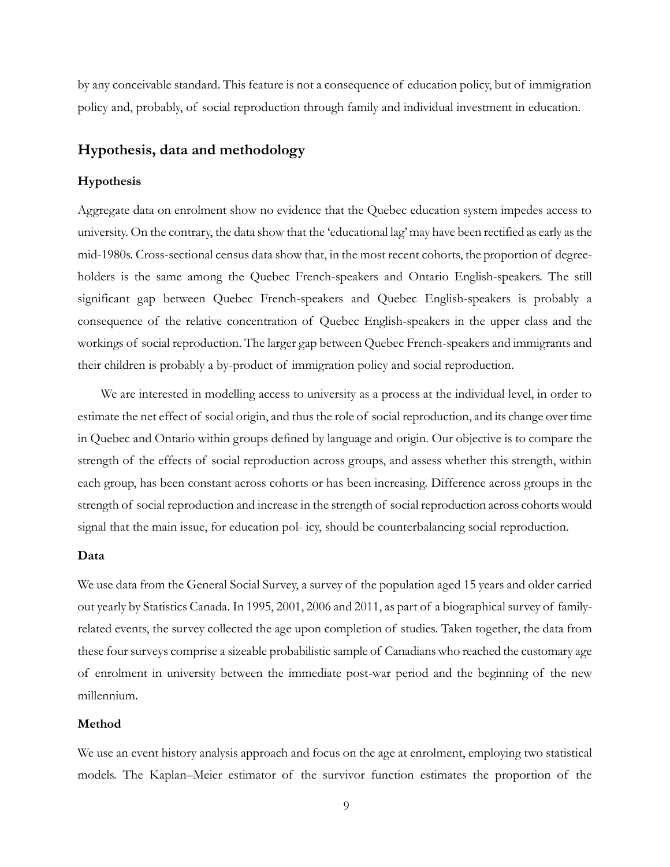by any conceivable standard. This feature is not a consequence of education policy, but of immigration policy and, probably, of social reproduction through family and individual investment in education.

### **Hypothesis, data and methodology**

#### **Hypothesis**

Aggregate data on enrolment show no evidence that the Quebec education system impedes access to university. On the contrary, the data show that the 'educational lag' may have been rectified as early as the mid-1980s. Cross-sectional census data show that, in the most recent cohorts, the proportion of degreeholders is the same among the Quebec French-speakers and Ontario English-speakers. The still significant gap between Quebec French-speakers and Quebec English-speakers is probably a consequence of the relative concentration of Quebec English-speakers in the upper class and the workings of social reproduction. The larger gap between Quebec French-speakers and immigrants and their children is probably a by-product of immigration policy and social reproduction.

We are interested in modelling access to university as a process at the individual level, in order to estimate the net effect of social origin, and thus the role of social reproduction, and its change over time in Quebec and Ontario within groups defined by language and origin. Our objective is to compare the strength of the effects of social reproduction across groups, and assess whether this strength, within each group, has been constant across cohorts or has been increasing. Difference across groups in the strength of social reproduction and increase in the strength of social reproduction across cohorts would signal that the main issue, for education pol- icy, should be counterbalancing social reproduction.

#### **Data**

We use data from the General Social Survey, a survey of the population aged 15 years and older carried out yearly by Statistics Canada. In 1995, 2001, 2006 and 2011, as part of a biographical survey of familyrelated events, the survey collected the age upon completion of studies. Taken together, the data from these four surveys comprise a sizeable probabilistic sample of Canadians who reached the customary age of enrolment in university between the immediate post-war period and the beginning of the new millennium.

### **Method**

We use an event history analysis approach and focus on the age at enrolment, employing two statistical models. The Kaplan–Meier estimator of the survivor function estimates the proportion of the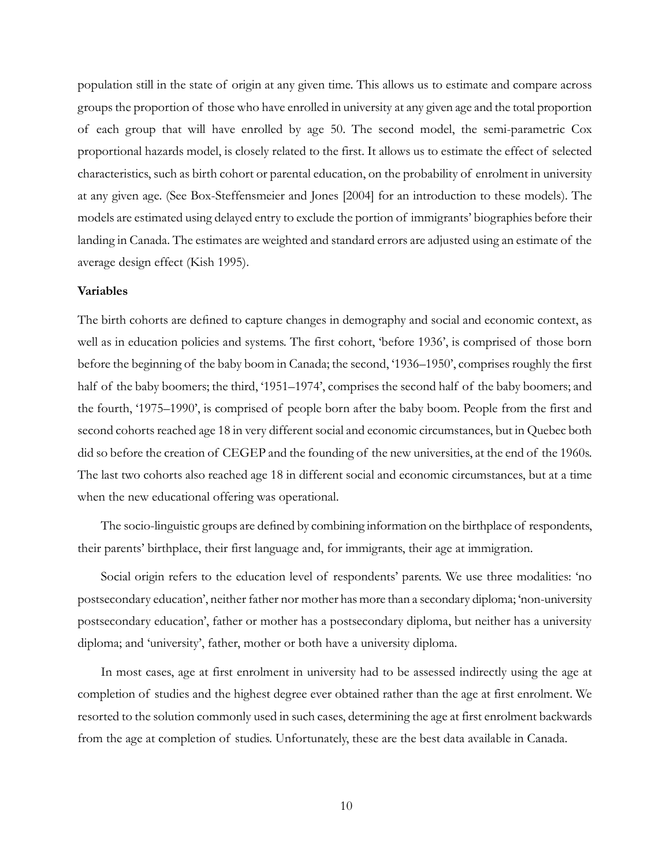population still in the state of origin at any given time. This allows us to estimate and compare across groups the proportion of those who have enrolled in university at any given age and the total proportion of each group that will have enrolled by age 50. The second model, the semi-parametric Cox proportional hazards model, is closely related to the first. It allows us to estimate the effect of selected characteristics, such as birth cohort or parental education, on the probability of enrolment in university at any given age. (See Box-Steffensmeier and Jones [2004] for an introduction to these models). The models are estimated using delayed entry to exclude the portion of immigrants' biographies before their landing in Canada. The estimates are weighted and standard errors are adjusted using an estimate of the average design effect (Kish 1995).

#### **Variables**

The birth cohorts are defined to capture changes in demography and social and economic context, as well as in education policies and systems. The first cohort, 'before 1936', is comprised of those born before the beginning of the baby boom in Canada; the second, '1936–1950', comprises roughly the first half of the baby boomers; the third, '1951–1974', comprises the second half of the baby boomers; and the fourth, '1975–1990', is comprised of people born after the baby boom. People from the first and second cohorts reached age 18 in very different social and economic circumstances, but in Quebec both did so before the creation of CEGEP and the founding of the new universities, at the end of the 1960s. The last two cohorts also reached age 18 in different social and economic circumstances, but at a time when the new educational offering was operational.

The socio-linguistic groups are defined by combining information on the birthplace of respondents, their parents' birthplace, their first language and, for immigrants, their age at immigration.

Social origin refers to the education level of respondents' parents. We use three modalities: 'no postsecondary education', neither father nor mother has more than a secondary diploma; 'non-university postsecondary education', father or mother has a postsecondary diploma, but neither has a university diploma; and 'university', father, mother or both have a university diploma.

In most cases, age at first enrolment in university had to be assessed indirectly using the age at completion of studies and the highest degree ever obtained rather than the age at first enrolment. We resorted to the solution commonly used in such cases, determining the age at first enrolment backwards from the age at completion of studies. Unfortunately, these are the best data available in Canada.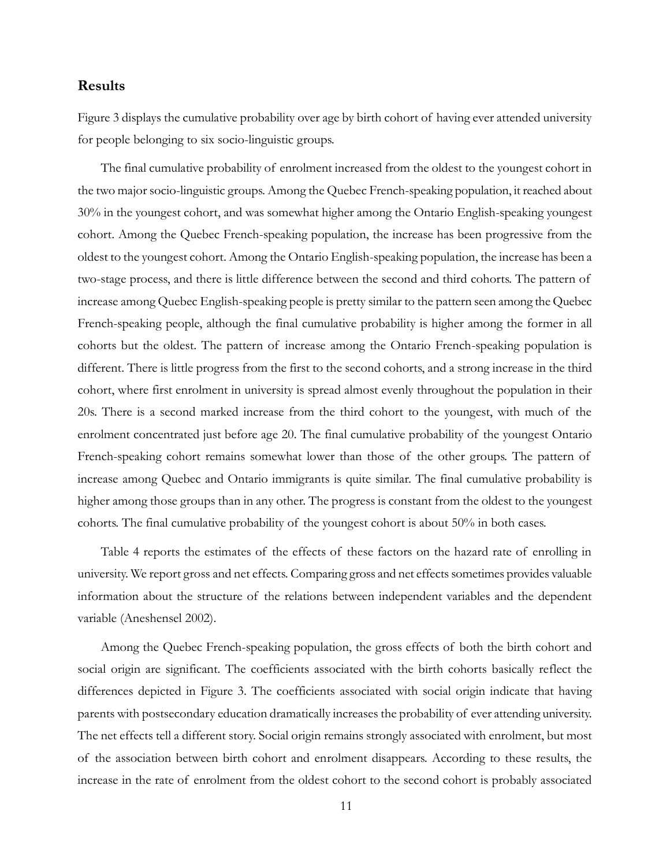### **Results**

Figure 3 displays the cumulative probability over age by birth cohort of having ever attended university for people belonging to six socio-linguistic groups.

The final cumulative probability of enrolment increased from the oldest to the youngest cohort in the two major socio-linguistic groups. Among the Quebec French-speaking population, it reached about 30% in the youngest cohort, and was somewhat higher among the Ontario English-speaking youngest cohort. Among the Quebec French-speaking population, the increase has been progressive from the oldest to the youngest cohort. Among the Ontario English-speaking population, the increase has been a two-stage process, and there is little difference between the second and third cohorts. The pattern of increase among Quebec English-speaking people is pretty similar to the pattern seen among the Quebec French-speaking people, although the final cumulative probability is higher among the former in all cohorts but the oldest. The pattern of increase among the Ontario French-speaking population is different. There is little progress from the first to the second cohorts, and a strong increase in the third cohort, where first enrolment in university is spread almost evenly throughout the population in their 20s. There is a second marked increase from the third cohort to the youngest, with much of the enrolment concentrated just before age 20. The final cumulative probability of the youngest Ontario French-speaking cohort remains somewhat lower than those of the other groups. The pattern of increase among Quebec and Ontario immigrants is quite similar. The final cumulative probability is higher among those groups than in any other. The progress is constant from the oldest to the youngest cohorts. The final cumulative probability of the youngest cohort is about 50% in both cases.

Table 4 reports the estimates of the effects of these factors on the hazard rate of enrolling in university. We report gross and net effects. Comparing gross and net effects sometimes provides valuable information about the structure of the relations between independent variables and the dependent variable (Aneshensel 2002).

Among the Quebec French-speaking population, the gross effects of both the birth cohort and social origin are significant. The coefficients associated with the birth cohorts basically reflect the differences depicted in Figure 3. The coefficients associated with social origin indicate that having parents with postsecondary education dramatically increases the probability of ever attending university. The net effects tell a different story. Social origin remains strongly associated with enrolment, but most of the association between birth cohort and enrolment disappears. According to these results, the increase in the rate of enrolment from the oldest cohort to the second cohort is probably associated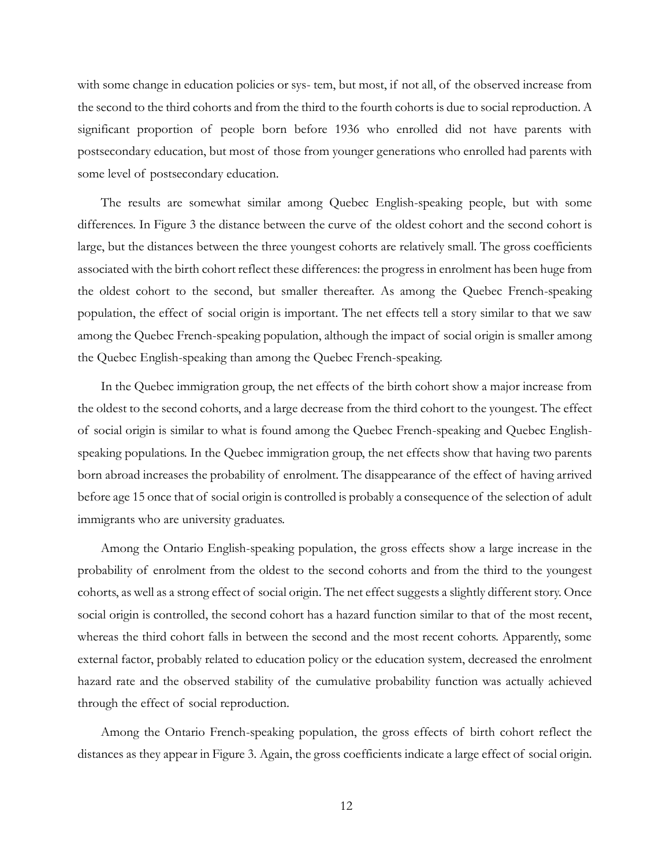with some change in education policies or sys- tem, but most, if not all, of the observed increase from the second to the third cohorts and from the third to the fourth cohorts is due to social reproduction. A significant proportion of people born before 1936 who enrolled did not have parents with postsecondary education, but most of those from younger generations who enrolled had parents with some level of postsecondary education.

The results are somewhat similar among Quebec English-speaking people, but with some differences. In Figure 3 the distance between the curve of the oldest cohort and the second cohort is large, but the distances between the three youngest cohorts are relatively small. The gross coefficients associated with the birth cohort reflect these differences: the progress in enrolment has been huge from the oldest cohort to the second, but smaller thereafter. As among the Quebec French-speaking population, the effect of social origin is important. The net effects tell a story similar to that we saw among the Quebec French-speaking population, although the impact of social origin is smaller among the Quebec English-speaking than among the Quebec French-speaking.

In the Quebec immigration group, the net effects of the birth cohort show a major increase from the oldest to the second cohorts, and a large decrease from the third cohort to the youngest. The effect of social origin is similar to what is found among the Quebec French-speaking and Quebec Englishspeaking populations. In the Quebec immigration group, the net effects show that having two parents born abroad increases the probability of enrolment. The disappearance of the effect of having arrived before age 15 once that of social origin is controlled is probably a consequence of the selection of adult immigrants who are university graduates.

Among the Ontario English-speaking population, the gross effects show a large increase in the probability of enrolment from the oldest to the second cohorts and from the third to the youngest cohorts, as well as a strong effect of social origin. The net effect suggests a slightly different story. Once social origin is controlled, the second cohort has a hazard function similar to that of the most recent, whereas the third cohort falls in between the second and the most recent cohorts. Apparently, some external factor, probably related to education policy or the education system, decreased the enrolment hazard rate and the observed stability of the cumulative probability function was actually achieved through the effect of social reproduction.

Among the Ontario French-speaking population, the gross effects of birth cohort reflect the distances as they appear in Figure 3. Again, the gross coefficients indicate a large effect of social origin.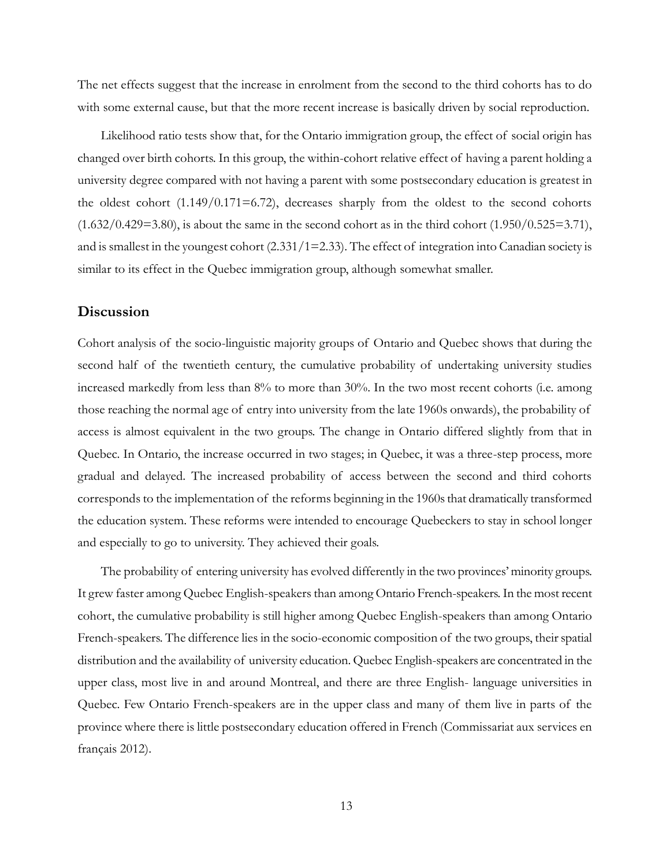The net effects suggest that the increase in enrolment from the second to the third cohorts has to do with some external cause, but that the more recent increase is basically driven by social reproduction.

Likelihood ratio tests show that, for the Ontario immigration group, the effect of social origin has changed over birth cohorts. In this group, the within-cohort relative effect of having a parent holding a university degree compared with not having a parent with some postsecondary education is greatest in the oldest cohort  $(1.149/0.171=6.72)$ , decreases sharply from the oldest to the second cohorts  $(1.632/0.429=3.80)$ , is about the same in the second cohort as in the third cohort  $(1.950/0.525=3.71)$ , and is smallest in the youngest cohort  $(2.331/1=2.33)$ . The effect of integration into Canadian society is similar to its effect in the Quebec immigration group, although somewhat smaller.

### **Discussion**

Cohort analysis of the socio-linguistic majority groups of Ontario and Quebec shows that during the second half of the twentieth century, the cumulative probability of undertaking university studies increased markedly from less than 8% to more than 30%. In the two most recent cohorts (i.e. among those reaching the normal age of entry into university from the late 1960s onwards), the probability of access is almost equivalent in the two groups. The change in Ontario differed slightly from that in Quebec. In Ontario, the increase occurred in two stages; in Quebec, it was a three-step process, more gradual and delayed. The increased probability of access between the second and third cohorts corresponds to the implementation of the reforms beginning in the 1960s that dramatically transformed the education system. These reforms were intended to encourage Quebeckers to stay in school longer and especially to go to university. They achieved their goals.

The probability of entering university has evolved differently in the two provinces' minority groups. It grew faster among Quebec English-speakers than among Ontario French-speakers. In the most recent cohort, the cumulative probability is still higher among Quebec English-speakers than among Ontario French-speakers. The difference lies in the socio-economic composition of the two groups, their spatial distribution and the availability of university education. Quebec English-speakers are concentrated in the upper class, most live in and around Montreal, and there are three English- language universities in Quebec. Few Ontario French-speakers are in the upper class and many of them live in parts of the province where there is little postsecondary education offered in French (Commissariat aux services en français 2012).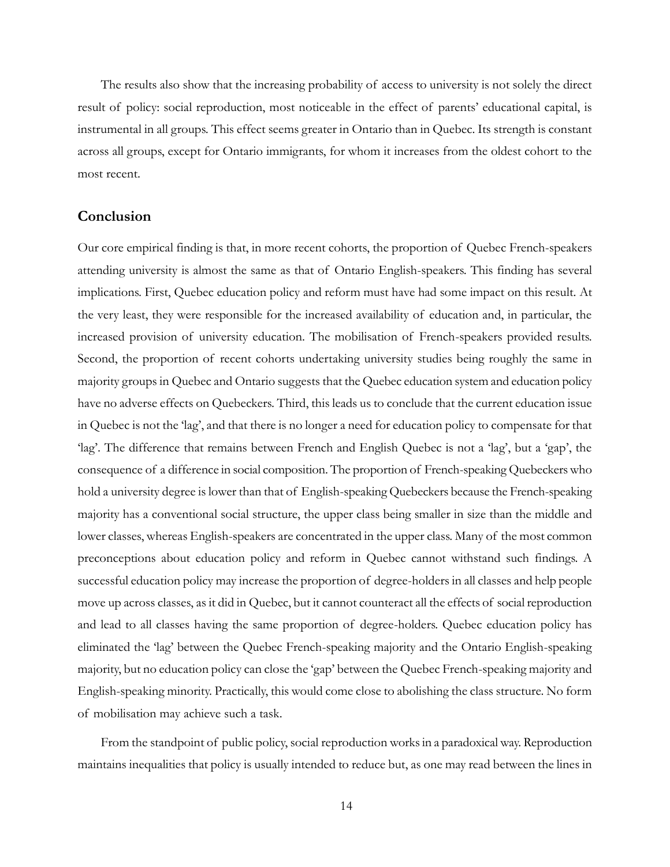The results also show that the increasing probability of access to university is not solely the direct result of policy: social reproduction, most noticeable in the effect of parents' educational capital, is instrumental in all groups. This effect seems greater in Ontario than in Quebec. Its strength is constant across all groups, except for Ontario immigrants, for whom it increases from the oldest cohort to the most recent.

### **Conclusion**

Our core empirical finding is that, in more recent cohorts, the proportion of Quebec French-speakers attending university is almost the same as that of Ontario English-speakers. This finding has several implications. First, Quebec education policy and reform must have had some impact on this result. At the very least, they were responsible for the increased availability of education and, in particular, the increased provision of university education. The mobilisation of French-speakers provided results. Second, the proportion of recent cohorts undertaking university studies being roughly the same in majority groups in Quebec and Ontario suggests that the Quebec education system and education policy have no adverse effects on Quebeckers. Third, this leads us to conclude that the current education issue in Quebec is not the 'lag', and that there is no longer a need for education policy to compensate for that 'lag'. The difference that remains between French and English Quebec is not a 'lag', but a 'gap', the consequence of a difference in social composition. The proportion of French-speaking Quebeckers who hold a university degree is lower than that of English-speaking Quebeckers because the French-speaking majority has a conventional social structure, the upper class being smaller in size than the middle and lower classes, whereas English-speakers are concentrated in the upper class. Many of the most common preconceptions about education policy and reform in Quebec cannot withstand such findings. A successful education policy may increase the proportion of degree-holders in all classes and help people move up across classes, as it did in Quebec, but it cannot counteract all the effects of social reproduction and lead to all classes having the same proportion of degree-holders. Quebec education policy has eliminated the 'lag' between the Quebec French-speaking majority and the Ontario English-speaking majority, but no education policy can close the 'gap' between the Quebec French-speaking majority and English-speaking minority. Practically, this would come close to abolishing the class structure. No form of mobilisation may achieve such a task.

From the standpoint of public policy, social reproduction works in a paradoxical way. Reproduction maintains inequalities that policy is usually intended to reduce but, as one may read between the lines in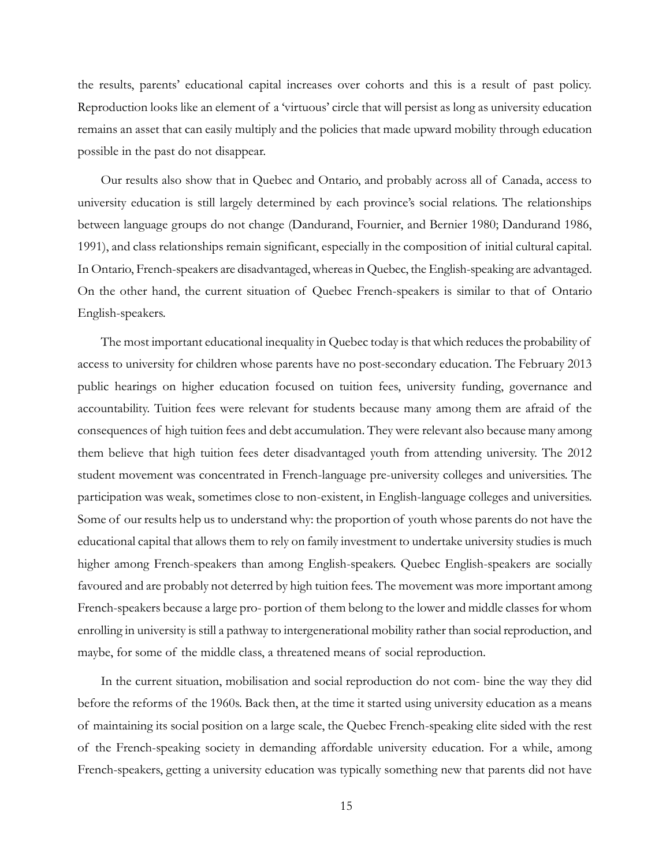the results, parents' educational capital increases over cohorts and this is a result of past policy. Reproduction looks like an element of a 'virtuous' circle that will persist as long as university education remains an asset that can easily multiply and the policies that made upward mobility through education possible in the past do not disappear.

Our results also show that in Quebec and Ontario, and probably across all of Canada, access to university education is still largely determined by each province's social relations. The relationships between language groups do not change (Dandurand, Fournier, and Bernier 1980; Dandurand 1986, 1991), and class relationships remain significant, especially in the composition of initial cultural capital. In Ontario, French-speakers are disadvantaged, whereas in Quebec, the English-speaking are advantaged. On the other hand, the current situation of Quebec French-speakers is similar to that of Ontario English-speakers.

The most important educational inequality in Quebec today is that which reduces the probability of access to university for children whose parents have no post-secondary education. The February 2013 public hearings on higher education focused on tuition fees, university funding, governance and accountability. Tuition fees were relevant for students because many among them are afraid of the consequences of high tuition fees and debt accumulation. They were relevant also because many among them believe that high tuition fees deter disadvantaged youth from attending university. The 2012 student movement was concentrated in French-language pre-university colleges and universities. The participation was weak, sometimes close to non-existent, in English-language colleges and universities. Some of our results help us to understand why: the proportion of youth whose parents do not have the educational capital that allows them to rely on family investment to undertake university studies is much higher among French-speakers than among English-speakers. Quebec English-speakers are socially favoured and are probably not deterred by high tuition fees. The movement was more important among French-speakers because a large pro- portion of them belong to the lower and middle classes for whom enrolling in university is still a pathway to intergenerational mobility rather than social reproduction, and maybe, for some of the middle class, a threatened means of social reproduction.

In the current situation, mobilisation and social reproduction do not com- bine the way they did before the reforms of the 1960s. Back then, at the time it started using university education as a means of maintaining its social position on a large scale, the Quebec French-speaking elite sided with the rest of the French-speaking society in demanding affordable university education. For a while, among French-speakers, getting a university education was typically something new that parents did not have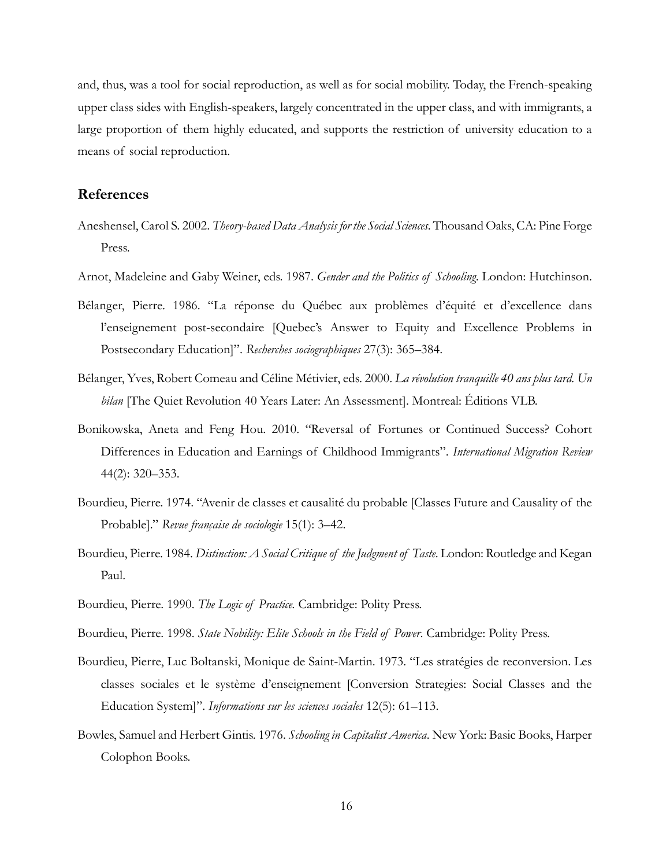and, thus, was a tool for social reproduction, as well as for social mobility. Today, the French-speaking upper class sides with English-speakers, largely concentrated in the upper class, and with immigrants, a large proportion of them highly educated, and supports the restriction of university education to a means of social reproduction.

### **References**

- Aneshensel, Carol S. 2002. *Theory-based Data Analysis for the Social Sciences*. Thousand Oaks, CA: Pine Forge Press.
- Arnot, Madeleine and Gaby Weiner, eds. 1987. *Gender and the Politics of Schooling*. London: Hutchinson.
- Bélanger, Pierre. 1986. "La réponse du Québec aux problèmes d'équité et d'excellence dans l'enseignement post-secondaire [Quebec's Answer to Equity and Excellence Problems in Postsecondary Education]". *Recherches sociographiques* 27(3): 365–384.
- Bélanger, Yves, Robert Comeau and Céline Métivier, eds. 2000. *La révolution tranquille 40 ans plus tard. Un bilan* [The Quiet Revolution 40 Years Later: An Assessment]. Montreal: Éditions VLB.
- Bonikowska, Aneta and Feng Hou. 2010. "Reversal of Fortunes or Continued Success? Cohort Differences in Education and Earnings of Childhood Immigrants". *International Migration Review* 44(2): 320–353.
- Bourdieu, Pierre. 1974. "Avenir de classes et causalité du probable [Classes Future and Causality of the Probable]." *Revue française de sociologie* 15(1): 3–42.
- Bourdieu, Pierre. 1984. *Distinction: A Social Critique of the Judgment of Taste*. London: Routledge and Kegan Paul.
- Bourdieu, Pierre. 1990. *The Logic of Practice.* Cambridge: Polity Press.
- Bourdieu, Pierre. 1998. *State Nobility: Elite Schools in the Field of Power*. Cambridge: Polity Press.
- Bourdieu, Pierre, Luc Boltanski, Monique de Saint-Martin. 1973. "Les stratégies de reconversion. Les classes sociales et le système d'enseignement [Conversion Strategies: Social Classes and the Education System]". *Informations sur les sciences sociales* 12(5): 61–113.
- Bowles, Samuel and Herbert Gintis. 1976. *Schooling in Capitalist America*. New York: Basic Books, Harper Colophon Books.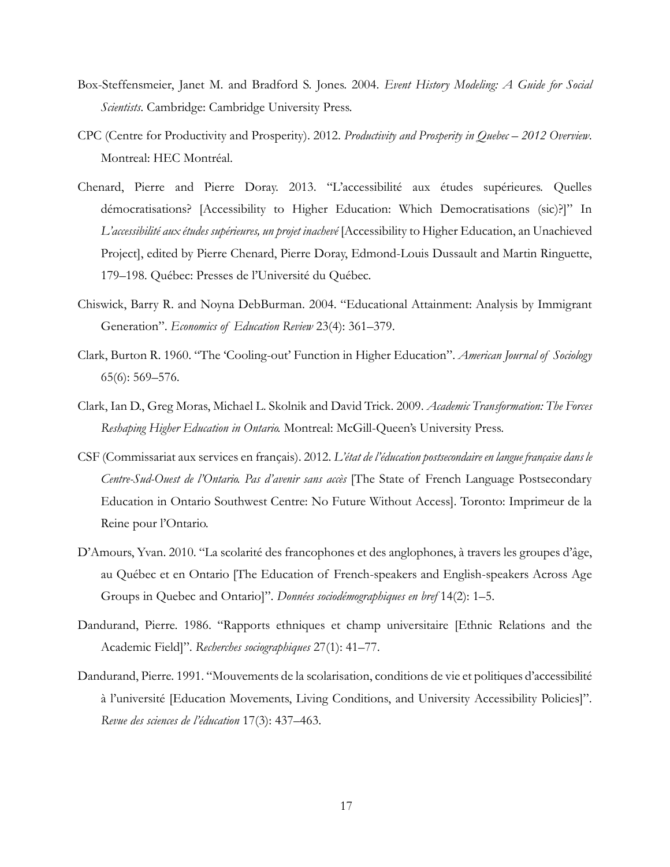- Box-Steffensmeier, Janet M. and Bradford S. Jones. 2004. *Event History Modeling: A Guide for Social Scientists*. Cambridge: Cambridge University Press.
- CPC (Centre for Productivity and Prosperity). 2012. *Productivity and Prosperity in Quebec – 2012 Overview*. Montreal: HEC Montréal.
- Chenard, Pierre and Pierre Doray. 2013. "L'accessibilité aux études supérieures. Quelles démocratisations? [Accessibility to Higher Education: Which Democratisations (sic)?]" In *L'accessibilité aux études supérieures, un projet inachevé* [Accessibility to Higher Education, an Unachieved Project], edited by Pierre Chenard, Pierre Doray, Edmond-Louis Dussault and Martin Ringuette, 179–198. Québec: Presses de l'Université du Québec.
- Chiswick, Barry R. and Noyna DebBurman. 2004. "Educational Attainment: Analysis by Immigrant Generation". *Economics of Education Review* 23(4): 361–379.
- Clark, Burton R. 1960. "The 'Cooling-out' Function in Higher Education". *American Journal of Sociology* 65(6): 569–576.
- Clark, Ian D., Greg Moras, Michael L. Skolnik and David Trick. 2009. *Academic Transformation: The Forces Reshaping Higher Education in Ontario.* Montreal: McGill-Queen's University Press.
- CSF (Commissariat aux services en français). 2012. *L'état de l'éducation postsecondaire en langue française dans le Centre-Sud-Ouest de l'Ontario. Pas d'avenir sans accès* [The State of French Language Postsecondary Education in Ontario Southwest Centre: No Future Without Access]. Toronto: Imprimeur de la Reine pour l'Ontario.
- D'Amours, Yvan. 2010. "La scolarité des francophones et des anglophones, à travers les groupes d'âge, au Québec et en Ontario [The Education of French-speakers and English-speakers Across Age Groups in Quebec and Ontario]". *Données sociodémographiques en bref* 14(2): 1–5.
- Dandurand, Pierre. 1986. "Rapports ethniques et champ universitaire [Ethnic Relations and the Academic Field]". *Recherches sociographiques* 27(1): 41–77.
- Dandurand, Pierre. 1991. "Mouvements de la scolarisation, conditions de vie et politiques d'accessibilité à l'université [Education Movements, Living Conditions, and University Accessibility Policies]". *Revue des sciences de l'éducation* 17(3): 437–463.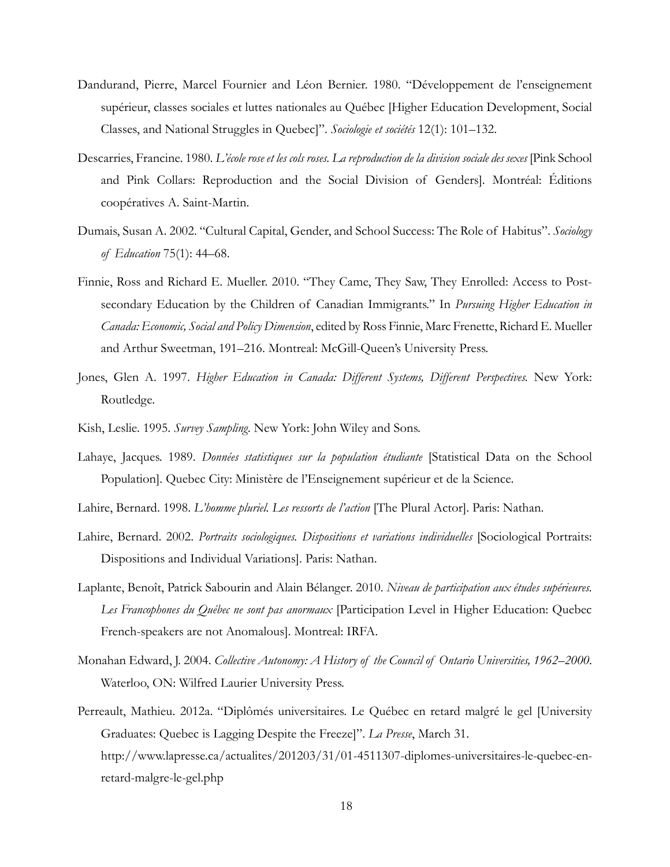- Dandurand, Pierre, Marcel Fournier and Léon Bernier. 1980. "Développement de l'enseignement supérieur, classes sociales et luttes nationales au Québec [Higher Education Development, Social Classes, and National Struggles in Quebec]". *Sociologie et sociétés* 12(1): 101–132.
- Descarries, Francine. 1980. *L'école rose et les cols roses. La reproduction de la division sociale des sexes* [Pink School and Pink Collars: Reproduction and the Social Division of Genders]. Montréal: Éditions coopératives A. Saint-Martin.
- Dumais, Susan A. 2002. "Cultural Capital, Gender, and School Success: The Role of Habitus". *Sociology of Education* 75(1): 44–68.
- Finnie, Ross and Richard E. Mueller. 2010. "They Came, They Saw, They Enrolled: Access to Postsecondary Education by the Children of Canadian Immigrants." In *Pursuing Higher Education in Canada: Economic, Social and Policy Dimension*, edited by Ross Finnie, Marc Frenette, Richard E. Mueller and Arthur Sweetman, 191–216. Montreal: McGill-Queen's University Press.
- Jones, Glen A. 1997. *Higher Education in Canada: Different Systems, Different Perspectives.* New York: Routledge.
- Kish, Leslie. 1995. *Survey Sampling*. New York: John Wiley and Sons.
- Lahaye, Jacques. 1989. *Données statistiques sur la population étudiante* [Statistical Data on the School Population]. Quebec City: Ministère de l'Enseignement supérieur et de la Science.
- Lahire, Bernard. 1998. *L'homme pluriel. Les ressorts de l'action* [The Plural Actor]. Paris: Nathan.
- Lahire, Bernard. 2002. *Portraits sociologiques. Dispositions et variations individuelles* [Sociological Portraits: Dispositions and Individual Variations]. Paris: Nathan.
- Laplante, Benoît, Patrick Sabourin and Alain Bélanger. 2010. *Niveau de participation aux études supérieures. Les Francophones du Québec ne sont pas anormaux* [Participation Level in Higher Education: Quebec French-speakers are not Anomalous]. Montreal: IRFA.
- Monahan Edward, J. 2004. *Collective Autonomy: A History of the Council of Ontario Universities, 1962–2000*. Waterloo, ON: Wilfred Laurier University Press.
- Perreault, Mathieu. 2012a. "Diplômés universitaires. Le Québec en retard malgré le gel [University Graduates: Quebec is Lagging Despite the Freeze]". *La Presse*, March 31. http://www.lapresse.ca/actualites/201203/31/01-4511307-diplomes-universitaires-le-quebec-enretard-malgre-le-gel.php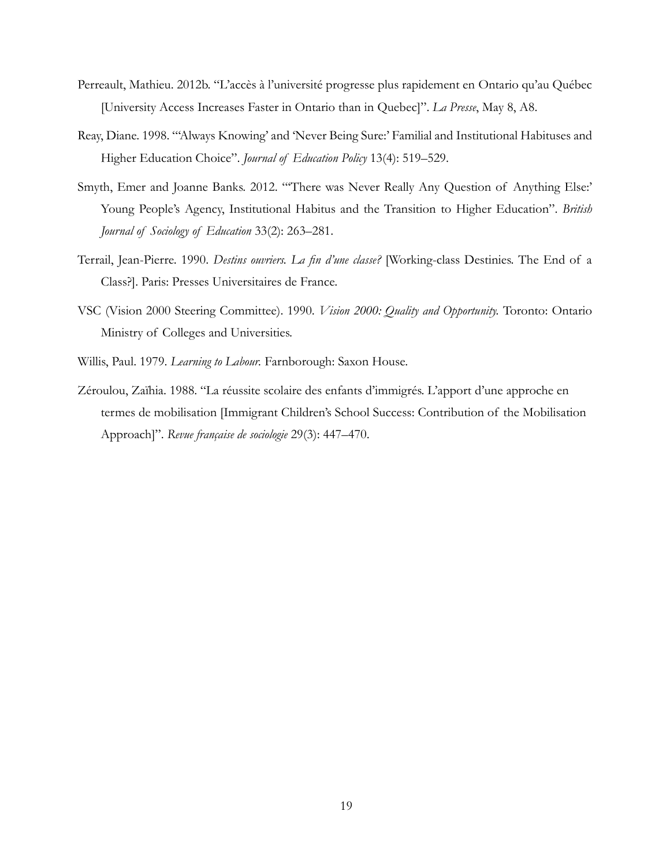- Perreault, Mathieu. 2012b. "L'accès à l'université progresse plus rapidement en Ontario qu'au Québec [University Access Increases Faster in Ontario than in Quebec]". *La Presse*, May 8, A8.
- Reay, Diane. 1998. "'Always Knowing' and 'Never Being Sure:' Familial and Institutional Habituses and Higher Education Choice". *Journal of Education Policy* 13(4): 519–529.
- Smyth, Emer and Joanne Banks. 2012. "'There was Never Really Any Question of Anything Else:' Young People's Agency, Institutional Habitus and the Transition to Higher Education". *British Journal of Sociology of Education* 33(2): 263–281.
- Terrail, Jean-Pierre. 1990. *Destins ouvriers. La fin d'une classe?* [Working-class Destinies. The End of a Class?]. Paris: Presses Universitaires de France.
- VSC (Vision 2000 Steering Committee). 1990. *Vision 2000: Quality and Opportunity.* Toronto: Ontario Ministry of Colleges and Universities.
- Willis, Paul. 1979. *Learning to Labour.* Farnborough: Saxon House.
- Zéroulou, Zaïhia. 1988. "La réussite scolaire des enfants d'immigrés. L'apport d'une approche en termes de mobilisation [Immigrant Children's School Success: Contribution of the Mobilisation Approach]". *Revue française de sociologie* 29(3): 447–470.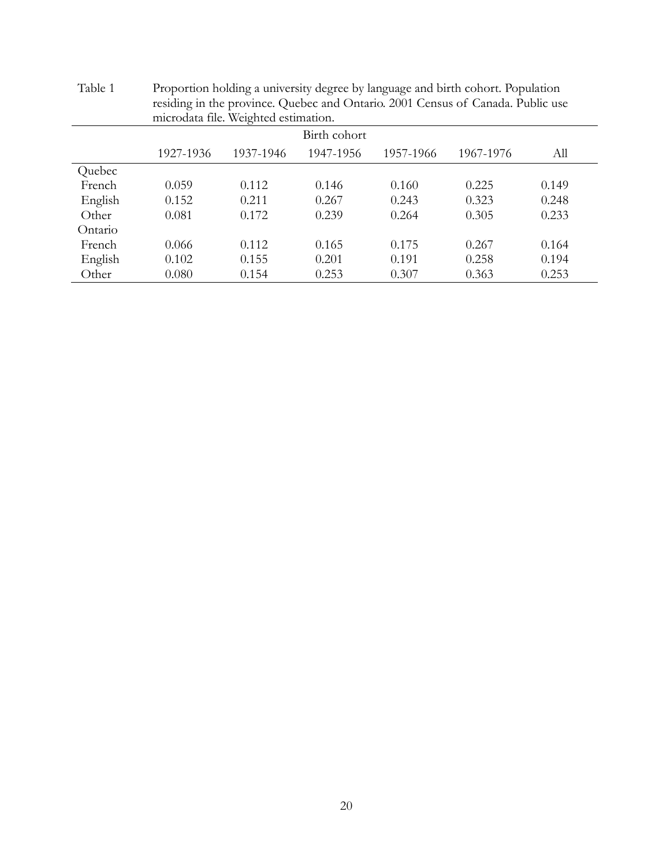| microdata file. Weighted estimation. |           |           |              |           |           |       |  |  |  |
|--------------------------------------|-----------|-----------|--------------|-----------|-----------|-------|--|--|--|
|                                      |           |           | Birth cohort |           |           |       |  |  |  |
|                                      | 1927-1936 | 1937-1946 | 1947-1956    | 1957-1966 | 1967-1976 | All   |  |  |  |
| Quebec                               |           |           |              |           |           |       |  |  |  |
| French                               | 0.059     | 0.112     | 0.146        | 0.160     | 0.225     | 0.149 |  |  |  |
| English                              | 0.152     | 0.211     | 0.267        | 0.243     | 0.323     | 0.248 |  |  |  |
| Other                                | 0.081     | 0.172     | 0.239        | 0.264     | 0.305     | 0.233 |  |  |  |
| Ontario                              |           |           |              |           |           |       |  |  |  |
| French                               | 0.066     | 0.112     | 0.165        | 0.175     | 0.267     | 0.164 |  |  |  |
| English                              | 0.102     | 0.155     | 0.201        | 0.191     | 0.258     | 0.194 |  |  |  |
| Other                                | 0.080     | 0.154     | 0.253        | 0.307     | 0.363     | 0.253 |  |  |  |

Table 1 Proportion holding a university degree by language and birth cohort. Population residing in the province. Quebec and Ontario. 2001 Census of Canada. Public use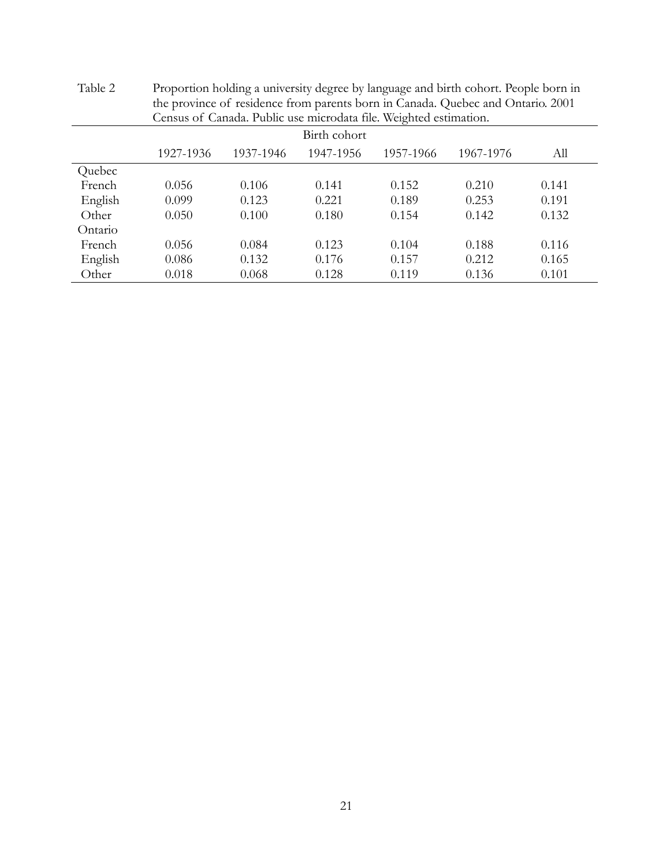| Census of Canada. Public use microdata file. Weighted estimation. |              |           |           |           |           |       |  |  |  |  |
|-------------------------------------------------------------------|--------------|-----------|-----------|-----------|-----------|-------|--|--|--|--|
|                                                                   | Birth cohort |           |           |           |           |       |  |  |  |  |
|                                                                   | 1927-1936    | 1937-1946 | 1947-1956 | 1957-1966 | 1967-1976 | All   |  |  |  |  |
| Quebec                                                            |              |           |           |           |           |       |  |  |  |  |
| French                                                            | 0.056        | 0.106     | 0.141     | 0.152     | 0.210     | 0.141 |  |  |  |  |
| English                                                           | 0.099        | 0.123     | 0.221     | 0.189     | 0.253     | 0.191 |  |  |  |  |
| Other                                                             | 0.050        | 0.100     | 0.180     | 0.154     | 0.142     | 0.132 |  |  |  |  |
| Ontario                                                           |              |           |           |           |           |       |  |  |  |  |
| French                                                            | 0.056        | 0.084     | 0.123     | 0.104     | 0.188     | 0.116 |  |  |  |  |
| English                                                           | 0.086        | 0.132     | 0.176     | 0.157     | 0.212     | 0.165 |  |  |  |  |
| Other                                                             | 0.018        | 0.068     | 0.128     | 0.119     | 0.136     | 0.101 |  |  |  |  |

Table 2 Proportion holding a university degree by language and birth cohort. People born in the province of residence from parents born in Canada. Quebec and Ontario. 2001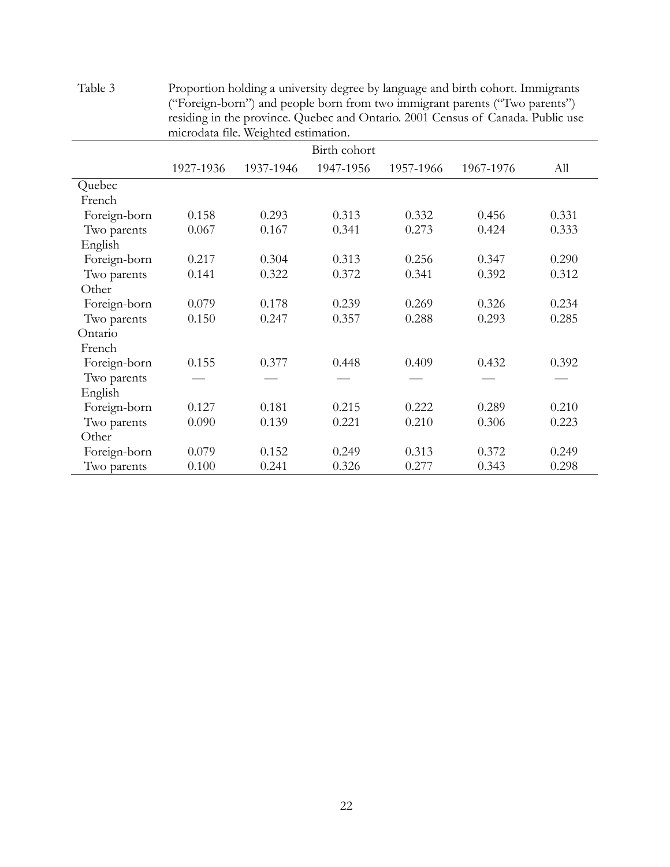|              |           | microdata file. Weighted estimation. |           |           | residing in the province. Quebec and Omano. 2001 Census of Canada. I done use |       |  |  |  |  |
|--------------|-----------|--------------------------------------|-----------|-----------|-------------------------------------------------------------------------------|-------|--|--|--|--|
| Birth cohort |           |                                      |           |           |                                                                               |       |  |  |  |  |
|              | 1927-1936 | 1937-1946                            | 1947-1956 | 1957-1966 | 1967-1976                                                                     | All   |  |  |  |  |
| Quebec       |           |                                      |           |           |                                                                               |       |  |  |  |  |
| French       |           |                                      |           |           |                                                                               |       |  |  |  |  |
| Foreign-born | 0.158     | 0.293                                | 0.313     | 0.332     | 0.456                                                                         | 0.331 |  |  |  |  |
| Two parents  | 0.067     | 0.167                                | 0.341     | 0.273     | 0.424                                                                         | 0.333 |  |  |  |  |
| English      |           |                                      |           |           |                                                                               |       |  |  |  |  |
| Foreign-born | 0.217     | 0.304                                | 0.313     | 0.256     | 0.347                                                                         | 0.290 |  |  |  |  |
| Two parents  | 0.141     | 0.322                                | 0.372     | 0.341     | 0.392                                                                         | 0.312 |  |  |  |  |
| Other        |           |                                      |           |           |                                                                               |       |  |  |  |  |
| Foreign-born | 0.079     | 0.178                                | 0.239     | 0.269     | 0.326                                                                         | 0.234 |  |  |  |  |
| Two parents  | 0.150     | 0.247                                | 0.357     | 0.288     | 0.293                                                                         | 0.285 |  |  |  |  |
| Ontario      |           |                                      |           |           |                                                                               |       |  |  |  |  |
| French       |           |                                      |           |           |                                                                               |       |  |  |  |  |
| Foreign-born | 0.155     | 0.377                                | 0.448     | 0.409     | 0.432                                                                         | 0.392 |  |  |  |  |
| Two parents  |           |                                      |           |           |                                                                               |       |  |  |  |  |
| English      |           |                                      |           |           |                                                                               |       |  |  |  |  |
| Foreign-born | 0.127     | 0.181                                | 0.215     | 0.222     | 0.289                                                                         | 0.210 |  |  |  |  |
| Two parents  | 0.090     | 0.139                                | 0.221     | 0.210     | 0.306                                                                         | 0.223 |  |  |  |  |
| Other        |           |                                      |           |           |                                                                               |       |  |  |  |  |
| Foreign-born | 0.079     | 0.152                                | 0.249     | 0.313     | 0.372                                                                         | 0.249 |  |  |  |  |
| Two parents  | 0.100     | 0.241                                | 0.326     | 0.277     | 0.343                                                                         | 0.298 |  |  |  |  |

Table 3 Proportion holding a university degree by language and birth cohort. Immigrants ("Foreign-born") and people born from two immigrant parents ("Two parents") residing in the province. Quebec and Ontario. 2001 Census of Canada. Public use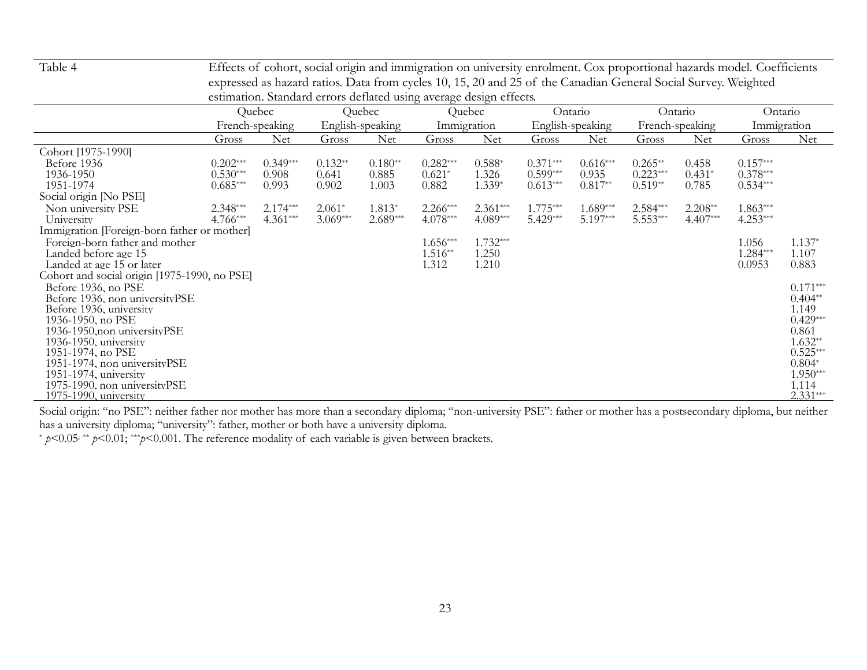| Table 4<br>Effects of cohort, social origin and immigration on university enrolment. Cox proportional hazards model. Coefficients |                 |            |                  |            |                                                                    |            |                  |            |                 |            |             |                         |
|-----------------------------------------------------------------------------------------------------------------------------------|-----------------|------------|------------------|------------|--------------------------------------------------------------------|------------|------------------|------------|-----------------|------------|-------------|-------------------------|
| expressed as hazard ratios. Data from cycles 10, 15, 20 and 25 of the Canadian General Social Survey. Weighted                    |                 |            |                  |            |                                                                    |            |                  |            |                 |            |             |                         |
|                                                                                                                                   |                 |            |                  |            | estimation. Standard errors deflated using average design effects. |            |                  |            |                 |            |             |                         |
|                                                                                                                                   | Quebec          |            | Quebec           |            | Quebec                                                             |            | Ontario          |            | Ontario         |            | Ontario     |                         |
|                                                                                                                                   | French-speaking |            | English-speaking |            | Immigration                                                        |            | English-speaking |            | French-speaking |            | Immigration |                         |
|                                                                                                                                   | Gross           | <b>Net</b> | Gross            | Net        | Gross                                                              | Net        | Gross            | Net        | Gross           | Net        | Gross       | Net                     |
| Cohort [1975-1990]                                                                                                                |                 |            |                  |            |                                                                    |            |                  |            |                 |            |             |                         |
| Before 1936                                                                                                                       | $0.202***$      | $0.349***$ | $0.132**$        | $0.180**$  | $0.282***$                                                         | $0.588*$   | $0.371***$       | $0.616***$ | $0.265**$       | 0.458      | $0.157***$  |                         |
| 1936-1950                                                                                                                         | $0.530***$      | 0.908      | 0.641            | 0.885      | $0.621*$                                                           | 1.326      | $0.599***$       | 0.935      | $0.223***$      | $0.431*$   | $0.378***$  |                         |
| 1951-1974                                                                                                                         | $0.685***$      | 0.993      | 0.902            | 1.003      | 0.882                                                              | $1.339*$   | $0.613***$       | $0.817**$  | $0.519**$       | 0.785      | $0.534***$  |                         |
| Social origin [No PSE]                                                                                                            |                 |            |                  |            |                                                                    |            |                  |            |                 |            |             |                         |
| Non university PSE                                                                                                                | 2.348***        | $2.174***$ | $2.061*$         | $1.813*$   | $2.266***$                                                         | $2.361***$ | $1.775***$       | $1.689***$ | 2.584***        | $2.208**$  | $1.863***$  |                         |
| University                                                                                                                        | 4.766***        | $4.361***$ | $3.069***$       | $2.689***$ | $4.078***$                                                         | $4.089***$ | 5.429***         | $5.197***$ | $5.553***$      | $4.407***$ | $4.253***$  |                         |
| Immigration [Foreign-born father or mother]                                                                                       |                 |            |                  |            |                                                                    |            |                  |            |                 |            |             |                         |
| Foreign-born father and mother                                                                                                    |                 |            |                  |            | $1.656***$                                                         | $1.732***$ |                  |            |                 |            | 1.056       | $1.137*$                |
| Landed before age 15                                                                                                              |                 |            |                  |            | $1.516**$                                                          | 1.250      |                  |            |                 |            | $1.284***$  | 1.107                   |
| Landed at age 15 or later                                                                                                         |                 |            |                  |            | 1.312                                                              | 1.210      |                  |            |                 |            | 0.0953      | 0.883                   |
| Cohort and social origin [1975-1990, no PSE]                                                                                      |                 |            |                  |            |                                                                    |            |                  |            |                 |            |             |                         |
| Before 1936, no PSE                                                                                                               |                 |            |                  |            |                                                                    |            |                  |            |                 |            |             | $0.171***$              |
| Before 1936, non universityPSE                                                                                                    |                 |            |                  |            |                                                                    |            |                  |            |                 |            |             | $0.404**$               |
| Before 1936, university                                                                                                           |                 |            |                  |            |                                                                    |            |                  |            |                 |            |             | 1.149                   |
| 1936-1950, no PSE                                                                                                                 |                 |            |                  |            |                                                                    |            |                  |            |                 |            |             | $0.429***$              |
| 1936-1950, non universityPSE                                                                                                      |                 |            |                  |            |                                                                    |            |                  |            |                 |            |             | 0.861                   |
| 1936-1950, university<br>1951-1974, no PSE                                                                                        |                 |            |                  |            |                                                                    |            |                  |            |                 |            |             | $1.632**$<br>$0.525***$ |
| 1951-1974, non universityPSE                                                                                                      |                 |            |                  |            |                                                                    |            |                  |            |                 |            |             | $0.804*$                |
| 1951-1974, university                                                                                                             |                 |            |                  |            |                                                                    |            |                  |            |                 |            |             | $1.950***$              |
| 1975-1990, non universityPSE                                                                                                      |                 |            |                  |            |                                                                    |            |                  |            |                 |            |             | 1.114                   |
| 1975-1990, university                                                                                                             |                 |            |                  |            |                                                                    |            |                  |            |                 |            |             | $2.331***$              |

Social origin: "no PSE": neither father nor mother has more than a secondary diploma; "non-university PSE": father or mother has a postsecondary diploma, but neither has a university diploma; "university": father, mother or both have a university diploma.

\* *p*<0.05; \*\* *p*<0.01; \*\*\**p*<0.001. The reference modality of each variable is given between brackets.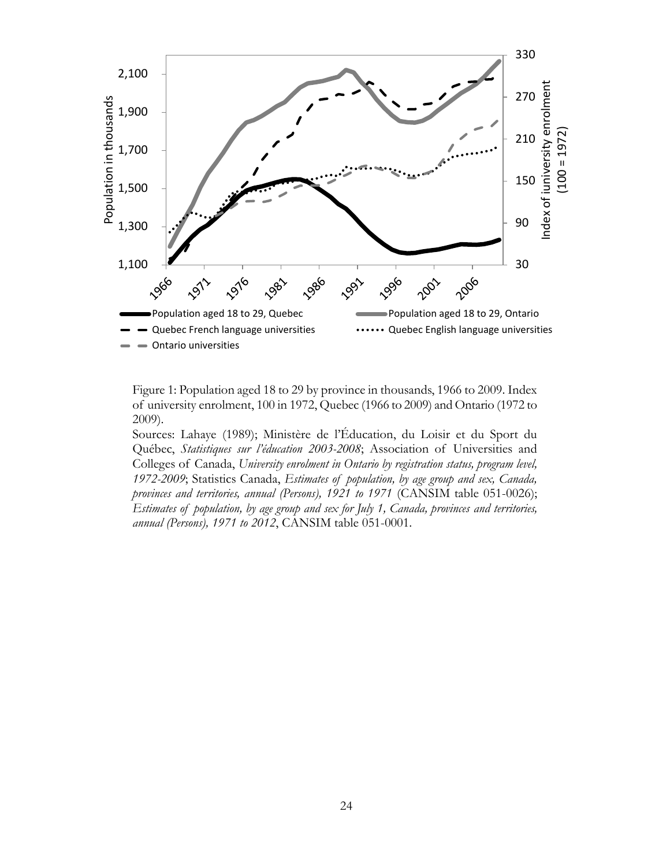

Figure 1: Population aged 18 to 29 by province in thousands, 1966 to 2009. Index of university enrolment, 100 in 1972, Quebec (1966 to 2009) and Ontario (1972 to 2009).

Sources: Lahaye (1989); Ministère de l'Éducation, du Loisir et du Sport du Québec, *Statistiques sur l'éducation 2003-2008*; Association of Universities and Colleges of Canada, *University enrolment in Ontario by registration status, program level, 1972-2009*; Statistics Canada, *Estimates of population, by age group and sex, Canada, provinces and territories, annual (Persons), 1921 to 1971* (CANSIM table 051-0026); *Estimates of population, by age group and sex for July 1, Canada, provinces and territories, annual (Persons), 1971 to 2012*, CANSIM table 051-0001.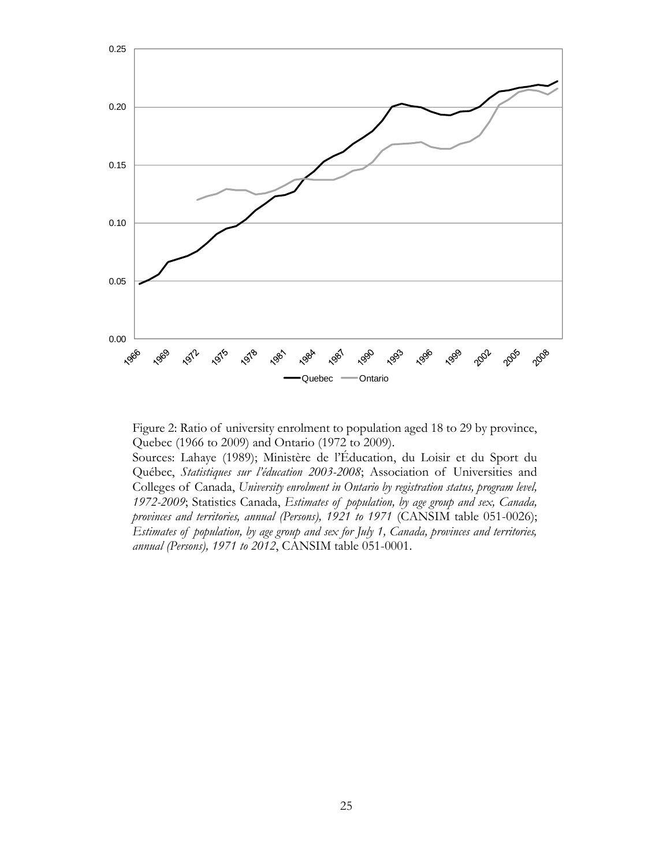



Sources: Lahaye (1989); Ministère de l'Éducation, du Loisir et du Sport du Québec, *Statistiques sur l'éducation 2003-2008*; Association of Universities and Colleges of Canada, *University enrolment in Ontario by registration status, program level, 1972-2009*; Statistics Canada, *Estimates of population, by age group and sex, Canada, provinces and territories, annual (Persons), 1921 to 1971* (CANSIM table 051-0026); *Estimates of population, by age group and sex for July 1, Canada, provinces and territories, annual (Persons), 1971 to 2012*, CANSIM table 051-0001.